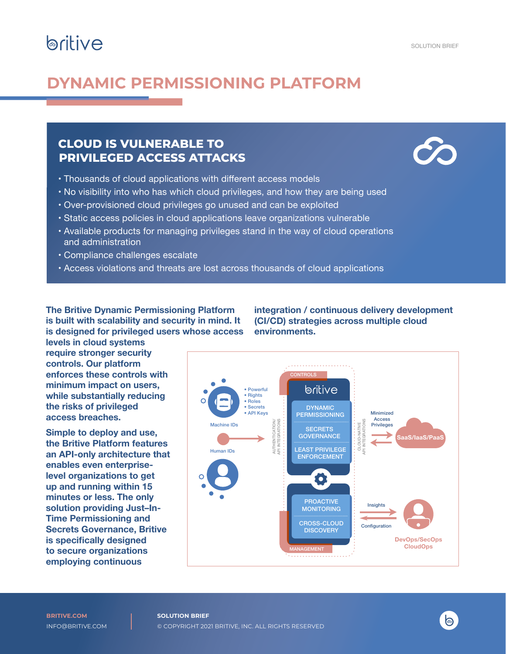# **britive**

### **DYNAMIC PERMISSIONING PLATFORM**

### **CLOUD IS VULNERABLE TO PRIVILEGED ACCESS ATTACKS**



- Thousands of cloud applications with different access models
- • No visibility into who has which cloud privileges, and how they are being used
- • Over-provisioned cloud privileges go unused and can be exploited
- • Static access policies in cloud applications leave organizations vulnerable
- Available products for managing privileges stand in the way of cloud operations and administration
- • Compliance challenges escalate
- Access violations and threats are lost across thousands of cloud applications

**The Britive Dynamic Permissioning Platform is built with scalability and security in mind. It is designed for privileged users whose access** 

**integration / continuous delivery development (CI/CD) strategies across multiple cloud environments.**

CONTROLS loritive • Powerful • Rights • Roles • Secrets<br>• API Kevs DYNAMIC • API Keys : PERMISSIONING : Minimized Access AUTHENTICATION/<br>\P| INTEGRATIONS AUTHENTICATION/ API INTEGRATIONS API INTEGRATIONS **NATIVE**<br>**GRATIONS** Privileges Machine IDs CLOUD-NATIVE **SECRETS GOVERNANCE SaaS/IaaS/PaaS** CLOUD-LEAST PRIVILEGE Human IDs ENFORCEMENT Ō PROACTIVE Insights **MONITORING** CROSS-CLOUD **Configuration DISCOVERY DevOps/SecOps CloudOps**MANAGEMENT

**levels in cloud systems require stronger security controls. Our platform enforces these controls with minimum impact on users, while substantially reducing the risks of privileged access breaches.** 

**Simple to deploy and use, the Britive Platform features an API-only architecture that enables even enterpriselevel organizations to get up and running within 15 minutes or less. The only solution providing Just–In-Time Permissioning and Secrets Governance, Britive is specifically designed to secure organizations employing continuous** 

る